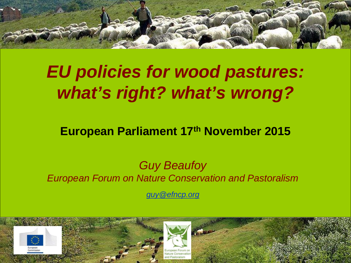

## *EU policies for wood pastures: what's right? what's wrong?*

#### **European Parliament 17th November 2015**

#### *Guy Beaufoy European Forum on Nature Conservation and Pastoralism*

*[guy@efncp.org](mailto:guy@efncp.org)*

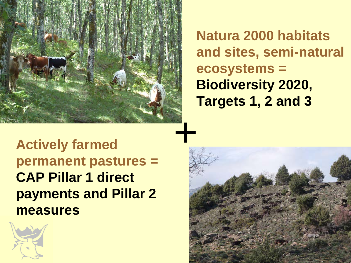

**Natura 2000 habitats and sites, semi-natural ecosystems = Biodiversity 2020, Targets 1, 2 and 3**

**Actively farmed permanent pastures = CAP Pillar 1 direct payments and Pillar 2 measures**



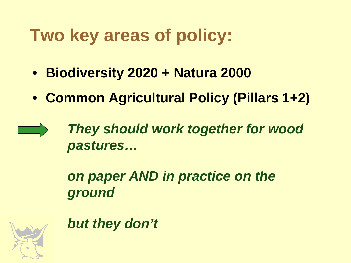# **Two key areas of policy:**

- **Biodiversity 2020 + Natura 2000**
- **Common Agricultural Policy (Pillars 1+2)**

*They should work together for wood pastures…*

*on paper AND in practice on the ground*



*but they don't*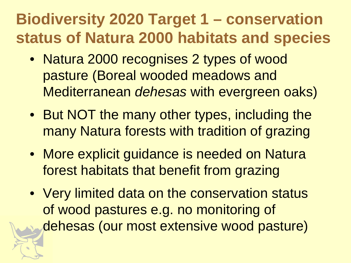#### **Biodiversity 2020 Target 1 – conservation status of Natura 2000 habitats and species**

- Natura 2000 recognises 2 types of wood pasture (Boreal wooded meadows and Mediterranean *dehesas* with evergreen oaks)
- But NOT the many other types, including the many Natura forests with tradition of grazing
- More explicit guidance is needed on Natura forest habitats that benefit from grazing
- Very limited data on the conservation status of wood pastures e.g. no monitoring of dehesas (our most extensive wood pasture)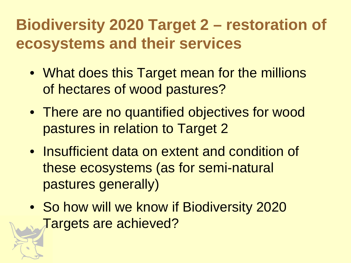#### **Biodiversity 2020 Target 2 – restoration of ecosystems and their services**

- What does this Target mean for the millions of hectares of wood pastures?
- There are no quantified objectives for wood pastures in relation to Target 2
- Insufficient data on extent and condition of these ecosystems (as for semi-natural pastures generally)
- So how will we know if Biodiversity 2020 Targets are achieved?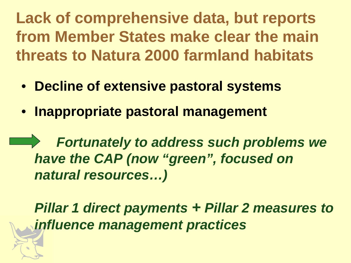**Lack of comprehensive data, but reports from Member States make clear the main threats to Natura 2000 farmland habitats**

- **Decline of extensive pastoral systems**
- **Inappropriate pastoral management**

*Fortunately to address such problems we have the CAP (now "green", focused on natural resources…)*

*Pillar 1 direct payments + Pillar 2 measures to influence management practices*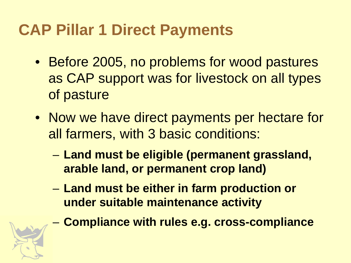### **CAP Pillar 1 Direct Payments**

- Before 2005, no problems for wood pastures as CAP support was for livestock on all types of pasture
- Now we have direct payments per hectare for all farmers, with 3 basic conditions:
	- **Land must be eligible (permanent grassland, arable land, or permanent crop land)**
	- **Land must be either in farm production or under suitable maintenance activity**
		- **Compliance with rules e.g. cross-compliance**

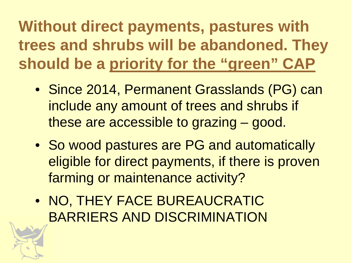**Without direct payments, pastures with trees and shrubs will be abandoned. They should be a priority for the "green" CAP**

- Since 2014, Permanent Grasslands (PG) can include any amount of trees and shrubs if these are accessible to grazing – good.
- So wood pastures are PG and automatically eligible for direct payments, if there is proven farming or maintenance activity?
- NO, THEY FACE BUREAUCRATIC BARRIERS AND DISCRIMINATION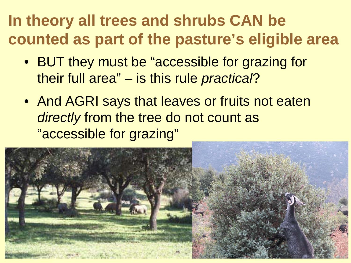### **In theory all trees and shrubs CAN be counted as part of the pasture's eligible area**

- BUT they must be "accessible for grazing for their full area" – is this rule *practical*?
- And AGRI says that leaves or fruits not eaten *directly* from the tree do not count as "accessible for grazing"

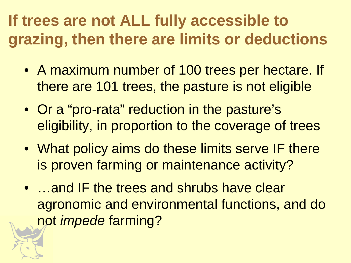### **If trees are not ALL fully accessible to grazing, then there are limits or deductions**

- A maximum number of 100 trees per hectare. If there are 101 trees, the pasture is not eligible
- Or a "pro-rata" reduction in the pasture's eligibility, in proportion to the coverage of trees
- What policy aims do these limits serve IF there is proven farming or maintenance activity?
- …and IF the trees and shrubs have clear agronomic and environmental functions, and do not *impede* farming?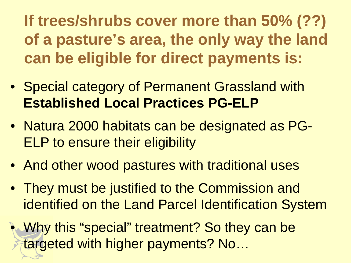**If trees/shrubs cover more than 50% (??) of a pasture's area, the only way the land can be eligible for direct payments is:**

- Special category of Permanent Grassland with **Established Local Practices PG-ELP**
- Natura 2000 habitats can be designated as PG-ELP to ensure their eligibility
- And other wood pastures with traditional uses
- They must be justified to the Commission and identified on the Land Parcel Identification System
- Why this "special" treatment? So they can be targeted with higher payments? No…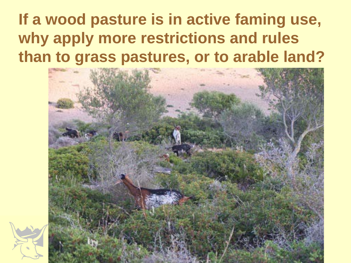### **If a wood pasture is in active faming use, why apply more restrictions and rules than to grass pastures, or to arable land?**

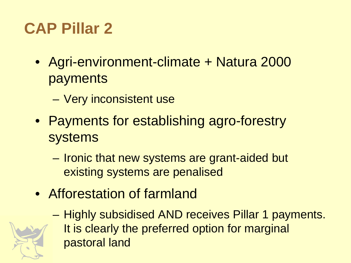## **CAP Pillar 2**

- Agri-environment-climate + Natura 2000 payments
	- Very inconsistent use
- Payments for establishing agro-forestry systems
	- Ironic that new systems are grant-aided but existing systems are penalised
- Afforestation of farmland

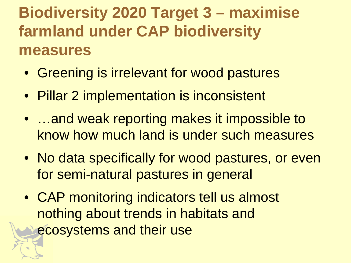#### **Biodiversity 2020 Target 3 – maximise farmland under CAP biodiversity measures**

- Greening is irrelevant for wood pastures
- Pillar 2 implementation is inconsistent
- …and weak reporting makes it impossible to know how much land is under such measures
- No data specifically for wood pastures, or even for semi-natural pastures in general
- CAP monitoring indicators tell us almost nothing about trends in habitats and ecosystems and their use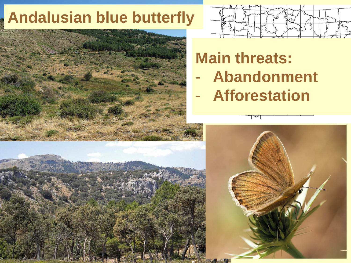#### **Andalusian blue butterfly Andalusian blue butterfly**



#### **Main threats:** - **Abandonment**

- **Afforestation**